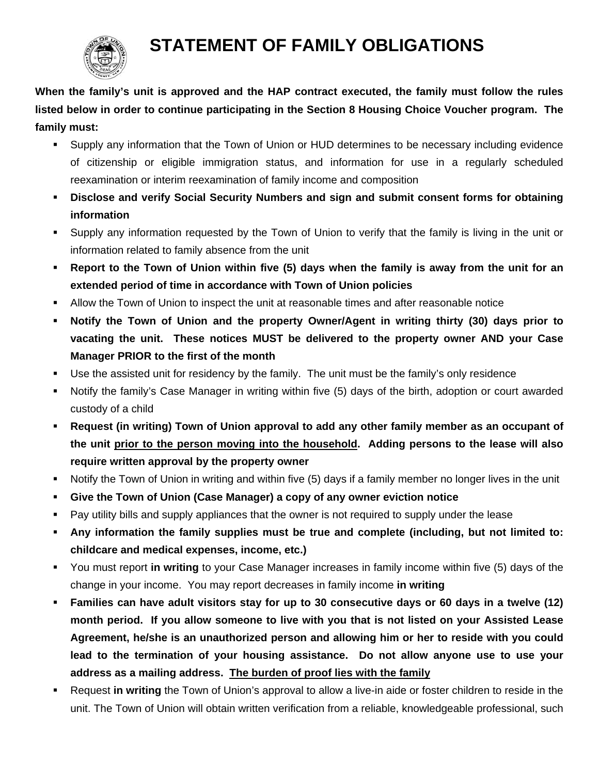

## **STATEMENT OF FAMILY OBLIGATIONS**

**When the family's unit is approved and the HAP contract executed, the family must follow the rules listed below in order to continue participating in the Section 8 Housing Choice Voucher program. The family must:** 

- Supply any information that the Town of Union or HUD determines to be necessary including evidence of citizenship or eligible immigration status, and information for use in a regularly scheduled reexamination or interim reexamination of family income and composition
- **Disclose and verify Social Security Numbers and sign and submit consent forms for obtaining information**
- Supply any information requested by the Town of Union to verify that the family is living in the unit or information related to family absence from the unit
- **Report to the Town of Union within five (5) days when the family is away from the unit for an extended period of time in accordance with Town of Union policies**
- Allow the Town of Union to inspect the unit at reasonable times and after reasonable notice
- **Notify the Town of Union and the property Owner/Agent in writing thirty (30) days prior to vacating the unit. These notices MUST be delivered to the property owner AND your Case Manager PRIOR to the first of the month**
- Use the assisted unit for residency by the family. The unit must be the family's only residence
- Notify the family's Case Manager in writing within five (5) days of the birth, adoption or court awarded custody of a child
- **Request (in writing) Town of Union approval to add any other family member as an occupant of the unit prior to the person moving into the household. Adding persons to the lease will also require written approval by the property owner**
- Notify the Town of Union in writing and within five (5) days if a family member no longer lives in the unit
- **Give the Town of Union (Case Manager) a copy of any owner eviction notice**
- Pay utility bills and supply appliances that the owner is not required to supply under the lease
- **Any information the family supplies must be true and complete (including, but not limited to: childcare and medical expenses, income, etc.)**
- You must report **in writing** to your Case Manager increases in family income within five (5) days of the change in your income. You may report decreases in family income **in writing**
- **Families can have adult visitors stay for up to 30 consecutive days or 60 days in a twelve (12) month period. If you allow someone to live with you that is not listed on your Assisted Lease Agreement, he/she is an unauthorized person and allowing him or her to reside with you could lead to the termination of your housing assistance. Do not allow anyone use to use your address as a mailing address. The burden of proof lies with the family**
- Request **in writing** the Town of Union's approval to allow a live-in aide or foster children to reside in the unit. The Town of Union will obtain written verification from a reliable, knowledgeable professional, such